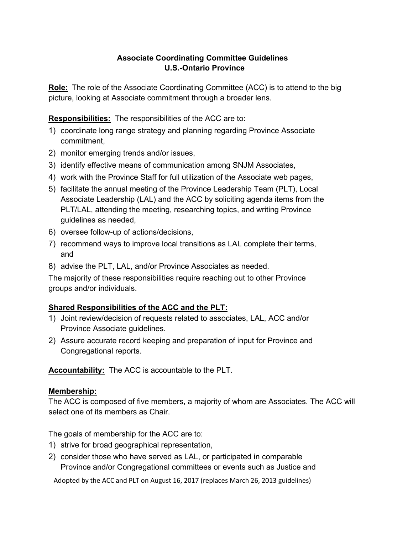### **Associate Coordinating Committee Guidelines U.S.-Ontario Province**

**Role:** The role of the Associate Coordinating Committee (ACC) is to attend to the big picture, looking at Associate commitment through a broader lens.

**Responsibilities:** The responsibilities of the ACC are to:

- 1) coordinate long range strategy and planning regarding Province Associate commitment,
- 2) monitor emerging trends and/or issues,
- 3) identify effective means of communication among SNJM Associates,
- 4) work with the Province Staff for full utilization of the Associate web pages,
- 5) facilitate the annual meeting of the Province Leadership Team (PLT), Local Associate Leadership (LAL) and the ACC by soliciting agenda items from the PLT/LAL, attending the meeting, researching topics, and writing Province guidelines as needed,
- 6) oversee follow-up of actions/decisions,
- 7) recommend ways to improve local transitions as LAL complete their terms, and
- 8) advise the PLT, LAL, and/or Province Associates as needed.

The majority of these responsibilities require reaching out to other Province groups and/or individuals.

# **Shared Responsibilities of the ACC and the PLT:**

- 1) Joint review/decision of requests related to associates, LAL, ACC and/or Province Associate guidelines.
- 2) Assure accurate record keeping and preparation of input for Province and Congregational reports.

**Accountability:** The ACC is accountable to the PLT.

# **Membership:**

The ACC is composed of five members, a majority of whom are Associates. The ACC will select one of its members as Chair.

The goals of membership for the ACC are to:

- 1) strive for broad geographical representation,
- 2) consider those who have served as LAL, or participated in comparable Province and/or Congregational committees or events such as Justice and

Adopted by the ACC and PLT on August 16, 2017 (replaces March 26, 2013 guidelines)